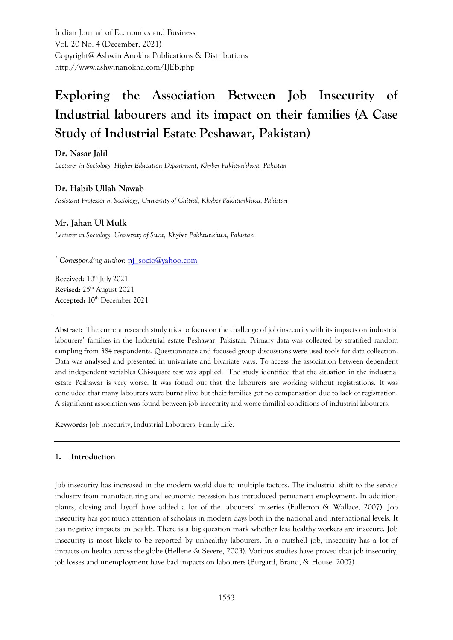Indian Journal of Economics and Business Vol. 20 No. 4 (December, 2021) Copyright@ Ashwin Anokha Publications & Distributions http://www.ashwinanokha.com/IJEB.php

# **Exploring the Association Between Job Insecurity of Industrial labourers and its impact on their families (A Case Study of Industrial Estate Peshawar, Pakistan)**

**Dr. Nasar Jalil** *Lecturer in Sociology, Higher Education Department, Khyber Pakhtunkhwa, Pakistan*

# **Dr. Habib Ullah Nawab**

*Assistant Professor in Sociology, University of Chitral, Khyber Pakhtunkhwa, Pakistan*

# **Mr. Jahan Ul Mulk**

*Lecturer in Sociology, University of Swat, Khyber Pakhtunkhwa, Pakistan*

*\* Corresponding author:* [nj\\_socio@yahoo.com](mailto:nj_socio@yahoo.com)

**Received:** 10<sup>th</sup> July 2021 **Revised:** 25th August 2021 Accepted:  $10^{th}$  December 2021

**Abstract:** The current research study tries to focus on the challenge of job insecurity with its impacts on industrial labourers' families in the Industrial estate Peshawar, Pakistan. Primary data was collected by stratified random sampling from 384 respondents. Questionnaire and focused group discussions were used tools for data collection. Data was analysed and presented in univariate and bivariate ways. To access the association between dependent and independent variables Chi-square test was applied. The study identified that the situation in the industrial estate Peshawar is very worse. It was found out that the labourers are working without registrations. It was concluded that many labourers were burnt alive but their families got no compensation due to lack of registration. A significant association was found between job insecurity and worse familial conditions of industrial labourers.

**Keywords:** Job insecurity, Industrial Labourers, Family Life.

#### **1. Introduction**

Job insecurity has increased in the modern world due to multiple factors. The industrial shift to the service industry from manufacturing and economic recession has introduced permanent employment. In addition, plants, closing and layoff have added a lot of the labourers' miseries (Fullerton & Wallace, 2007). Job insecurity has got much attention of scholars in modern days both in the national and international levels. It has negative impacts on health. There is a big question mark whether less healthy workers are insecure. Job insecurity is most likely to be reported by unhealthy labourers. In a nutshell job, insecurity has a lot of impacts on health across the globe (Hellene & Severe, 2003). Various studies have proved that job insecurity, job losses and unemployment have bad impacts on labourers (Burgard, Brand, & House, 2007).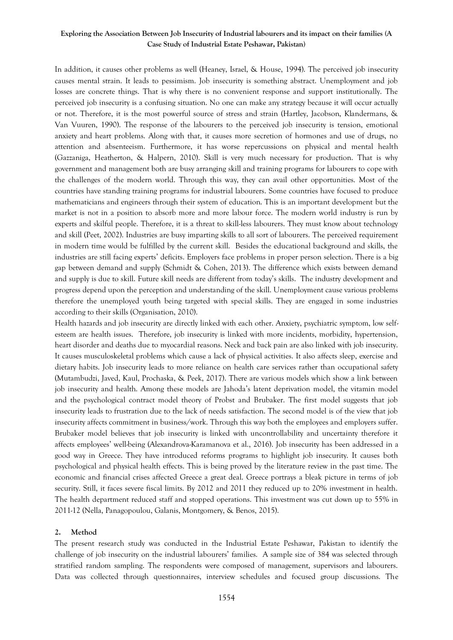In addition, it causes other problems as well (Heaney, Israel, & House, 1994). The perceived job insecurity causes mental strain. It leads to pessimism. Job insecurity is something abstract. Unemployment and job losses are concrete things. That is why there is no convenient response and support institutionally. The perceived job insecurity is a confusing situation. No one can make any strategy because it will occur actually or not. Therefore, it is the most powerful source of stress and strain (Hartley, Jacobson, Klandermans, & Van Vuuren, 1990). The response of the labourers to the perceived job insecurity is tension, emotional anxiety and heart problems. Along with that, it causes more secretion of hormones and use of drugs, no attention and absenteeism. Furthermore, it has worse repercussions on physical and mental health (Gazzaniga, Heatherton, & Halpern, 2010). Skill is very much necessary for production. That is why government and management both are busy arranging skill and training programs for labourers to cope with the challenges of the modern world. Through this way, they can avail other opportunities. Most of the countries have standing training programs for industrial labourers. Some countries have focused to produce mathematicians and engineers through their system of education. This is an important development but the market is not in a position to absorb more and more labour force. The modern world industry is run by experts and skilful people. Therefore, it is a threat to skill-less labourers. They must know about technology and skill (Peet, 2002). Industries are busy imparting skills to all sort of labourers. The perceived requirement in modern time would be fulfilled by the current skill. Besides the educational background and skills, the industries are still facing experts' deficits. Employers face problems in proper person selection. There is a big gap between demand and supply (Schmidt & Cohen, 2013). The difference which exists between demand and supply is due to skill. Future skill needs are different from today's skills. The industry development and progress depend upon the perception and understanding of the skill. Unemployment cause various problems therefore the unemployed youth being targeted with special skills. They are engaged in some industries according to their skills (Organisation, 2010).

Health hazards and job insecurity are directly linked with each other. Anxiety, psychiatric symptom, low selfesteem are health issues. Therefore, job insecurity is linked with more incidents, morbidity, hypertension, heart disorder and deaths due to myocardial reasons. Neck and back pain are also linked with job insecurity. It causes musculoskeletal problems which cause a lack of physical activities. It also affects sleep, exercise and dietary habits. Job insecurity leads to more reliance on health care services rather than occupational safety (Mutambudzi, Javed, Kaul, Prochaska, & Peek, 2017). There are various models which show a link between job insecurity and health. Among these models are Jahoda's latent deprivation model, the vitamin model and the psychological contract model theory of Probst and Brubaker. The first model suggests that job insecurity leads to frustration due to the lack of needs satisfaction. The second model is of the view that job insecurity affects commitment in business/work. Through this way both the employees and employers suffer. Brubaker model believes that job insecurity is linked with uncontrollability and uncertainty therefore it affects employees' well-being (Alexandrova-Karamanova et al., 2016). Job insecurity has been addressed in a good way in Greece. They have introduced reforms programs to highlight job insecurity. It causes both psychological and physical health effects. This is being proved by the literature review in the past time. The economic and financial crises affected Greece a great deal. Greece portrays a bleak picture in terms of job security. Still, it faces severe fiscal limits. By 2012 and 2011 they reduced up to 20% investment in health. The health department reduced staff and stopped operations. This investment was cut down up to 55% in 2011-12 (Nella, Panagopoulou, Galanis, Montgomery, & Benos, 2015).

#### **2. Method**

The present research study was conducted in the Industrial Estate Peshawar, Pakistan to identify the challenge of job insecurity on the industrial labourers' families. A sample size of 384 was selected through stratified random sampling. The respondents were composed of management, supervisors and labourers. Data was collected through questionnaires, interview schedules and focused group discussions. The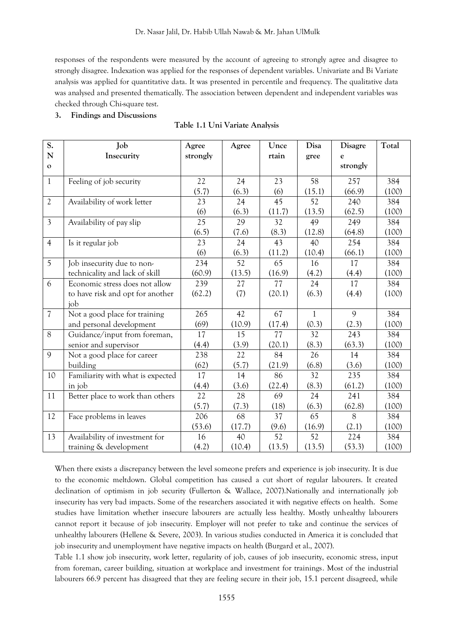responses of the respondents were measured by the account of agreeing to strongly agree and disagree to strongly disagree. Indexation was applied for the responses of dependent variables. Univariate and Bi Variate analysis was applied for quantitative data. It was presented in percentile and frequency. The qualitative data was analysed and presented thematically. The association between dependent and independent variables was checked through Chi-square test.

**3. Findings and Discussions**

| S.                       | Job                               | Agree    | Agree  | Unce   | Disa         | <b>Disagre</b> | Total |
|--------------------------|-----------------------------------|----------|--------|--------|--------------|----------------|-------|
| N                        | Insecurity                        | strongly |        | rtain  | gree         | e              |       |
| $\mathbf{o}$             |                                   |          |        |        |              | strongly       |       |
| $\mathbf{1}$             | Feeling of job security           | 22       | 24     | 23     | 58           | 257            | 384   |
|                          |                                   | (5.7)    | (6.3)  | (6)    | (15.1)       | (66.9)         | (100) |
| $\mathfrak{2}$           | Availability of work letter       | 23       | 24     | 45     | 52           | 240            | 384   |
|                          |                                   | (6)      | (6.3)  | (11.7) | (13.5)       | (62.5)         | (100) |
| $\overline{3}$           | Availability of pay slip          | 25       | 29     | 32     | 49           | 249            | 384   |
|                          |                                   | (6.5)    | (7.6)  | (8.3)  | (12.8)       | (64.8)         | (100) |
| $\overline{4}$           | Is it regular job                 | 23       | 24     | 43     | 40           | 254            | 384   |
|                          |                                   | (6)      | (6.3)  | (11.2) | (10.4)       | (66.1)         | (100) |
| 5                        | Job insecurity due to non-        | 234      | 52     | 65     | 16           | 17             | 384   |
|                          | technicality and lack of skill    | (60.9)   | (13.5) | (16.9) | (4.2)        | (4.4)          | (100) |
| 6                        | Economic stress does not allow    | 239      | 27     | 77     | 24           | 17             | 384   |
|                          | to have risk and opt for another  | (62.2)   | (7)    | (20.1) | (6.3)        | (4.4)          | (100) |
|                          | job                               |          |        |        |              |                |       |
| $\overline{\mathcal{U}}$ | Not a good place for training     | 265      | 42     | 67     | $\mathbf{1}$ | 9              | 384   |
|                          | and personal development          | (69)     | (10.9) | (17.4) | (0.3)        | (2.3)          | (100) |
| 8                        | Guidance/input from foreman,      | 17       | 15     | 77     | 32           | 243            | 384   |
|                          | senior and supervisor             | (4.4)    | (3.9)  | (20.1) | (8.3)        | (63.3)         | (100) |
| 9                        | Not a good place for career       | 238      | 22     | 84     | 26           | 14             | 384   |
|                          | building                          | (62)     | (5.7)  | (21.9) | (6.8)        | (3.6)          | (100) |
| 10                       | Familiarity with what is expected | 17       | 14     | 86     | 32           | 235            | 384   |
|                          | in job                            | (4.4)    | (3.6)  | (22.4) | (8.3)        | (61.2)         | (100) |
| 11                       | Better place to work than others  | 22       | 28     | 69     | 24           | 241            | 384   |
|                          |                                   | (5.7)    | (7.3)  | (18)   | (6.3)        | (62.8)         | (100) |
| 12                       | Face problems in leaves           | 206      | 68     | 37     | 65           | 8              | 384   |
|                          |                                   | (53.6)   | (17.7) | (9.6)  | (16.9)       | (2.1)          | (100) |
| 13                       | Availability of investment for    | 16       | 40     | 52     | 52           | 224            | 384   |
|                          | training & development            | (4.2)    | (10.4) | (13.5) | (13.5)       | (53.3)         | (100) |

### **Table 1.1 Uni Variate Analysis**

When there exists a discrepancy between the level someone prefers and experience is job insecurity. It is due to the economic meltdown. Global competition has caused a cut short of regular labourers. It created declination of optimism in job security (Fullerton & Wallace, 2007).Nationally and internationally job insecurity has very bad impacts. Some of the researchers associated it with negative effects on health. Some studies have limitation whether insecure labourers are actually less healthy. Mostly unhealthy labourers cannot report it because of job insecurity. Employer will not prefer to take and continue the services of unhealthy labourers (Hellene & Severe, 2003). In various studies conducted in America it is concluded that job insecurity and unemployment have negative impacts on health (Burgard et al., 2007).

Table 1.1 show job insecurity, work letter, regularity of job, causes of job insecurity, economic stress, input from foreman, career building, situation at workplace and investment for trainings. Most of the industrial labourers 66.9 percent has disagreed that they are feeling secure in their job, 15.1 percent disagreed, while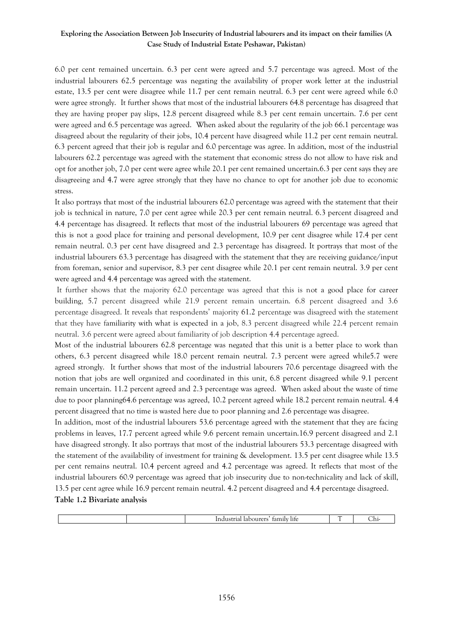6.0 per cent remained uncertain. 6.3 per cent were agreed and 5.7 percentage was agreed. Most of the industrial labourers 62.5 percentage was negating the availability of proper work letter at the industrial estate, 13.5 per cent were disagree while 11.7 per cent remain neutral. 6.3 per cent were agreed while 6.0 were agree strongly. It further shows that most of the industrial labourers 64.8 percentage has disagreed that they are having proper pay slips, 12.8 percent disagreed while 8.3 per cent remain uncertain. 7.6 per cent were agreed and 6.5 percentage was agreed. When asked about the regularity of the job 66.1 percentage was disagreed about the regularity of their jobs, 10.4 percent have disagreed while 11.2 per cent remain neutral. 6.3 percent agreed that their job is regular and 6.0 percentage was agree. In addition, most of the industrial labourers 62.2 percentage was agreed with the statement that economic stress do not allow to have risk and opt for another job, 7.0 per cent were agree while 20.1 per cent remained uncertain.6.3 per cent says they are disagreeing and 4.7 were agree strongly that they have no chance to opt for another job due to economic stress.

It also portrays that most of the industrial labourers 62.0 percentage was agreed with the statement that their job is technical in nature, 7.0 per cent agree while 20.3 per cent remain neutral. 6.3 percent disagreed and 4.4 percentage has disagreed. It reflects that most of the industrial labourers 69 percentage was agreed that this is not a good place for training and personal development, 10.9 per cent disagree while 17.4 per cent remain neutral. 0.3 per cent have disagreed and 2.3 percentage has disagreed. It portrays that most of the industrial labourers 63.3 percentage has disagreed with the statement that they are receiving guidance/input from foreman, senior and supervisor, 8.3 per cent disagree while 20.1 per cent remain neutral. 3.9 per cent were agreed and 4.4 percentage was agreed with the statement.

It further shows that the majority 62.0 percentage was agreed that this is not a good place for career building, 5.7 percent disagreed while 21.9 percent remain uncertain. 6.8 percent disagreed and 3.6 percentage disagreed. It reveals that respondents' majority 61.2 percentage was disagreed with the statement that they have familiarity with what is expected in a job, 8.3 percent disagreed while 22.4 percent remain neutral. 3.6 percent were agreed about familiarity of job description 4.4 percentage agreed.

Most of the industrial labourers 62.8 percentage was negated that this unit is a better place to work than others, 6.3 percent disagreed while 18.0 percent remain neutral. 7.3 percent were agreed while5.7 were agreed strongly. It further shows that most of the industrial labourers 70.6 percentage disagreed with the notion that jobs are well organized and coordinated in this unit, 6.8 percent disagreed while 9.1 percent remain uncertain. 11.2 percent agreed and 2.3 percentage was agreed. When asked about the waste of time due to poor planning64.6 percentage was agreed, 10.2 percent agreed while 18.2 percent remain neutral. 4.4 percent disagreed that no time is wasted here due to poor planning and 2.6 percentage was disagree.

In addition, most of the industrial labourers 53.6 percentage agreed with the statement that they are facing problems in leaves, 17.7 percent agreed while 9.6 percent remain uncertain.16.9 percent disagreed and 2.1 have disagreed strongly. It also portrays that most of the industrial labourers 53.3 percentage disagreed with the statement of the availability of investment for training & development. 13.5 per cent disagree while 13.5 per cent remains neutral. 10.4 percent agreed and 4.2 percentage was agreed. It reflects that most of the industrial labourers 60.9 percentage was agreed that job insecurity due to non-technicality and lack of skill, 13.5 per cent agree while 16.9 percent remain neutral. 4.2 percent disagreed and 4.4 percentage disagreed.

#### **Table 1.2 Bivariate analysis**

| ше<br>ull |
|-----------|
|-----------|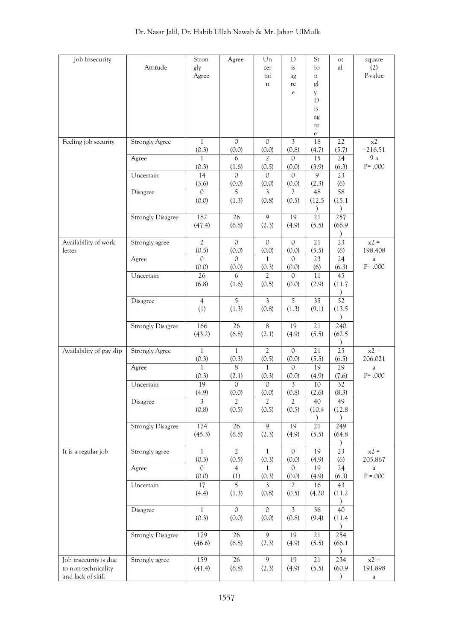| Job Insecurity           |                          | Stron           | Agree                 | Un             | D              | St              | ot              | square               |
|--------------------------|--------------------------|-----------------|-----------------------|----------------|----------------|-----------------|-----------------|----------------------|
|                          | Attitude                 | gly             |                       | cer            | is             | ro              | al              | (2)                  |
|                          |                          | Agree           |                       | tai            | ag             | $\mathbf n$     |                 | P-value              |
|                          |                          |                 |                       | n              | re             | gl              |                 |                      |
|                          |                          |                 |                       |                | $\rm e$        | y               |                 |                      |
|                          |                          |                 |                       |                |                | $\mathbf D$     |                 |                      |
|                          |                          |                 |                       |                |                | is              |                 |                      |
|                          |                          |                 |                       |                |                | ag              |                 |                      |
|                          |                          |                 |                       |                |                | re              |                 |                      |
|                          |                          |                 |                       |                |                | $\rm e$         |                 |                      |
| Feeling job security     | <b>Strongly Agree</b>    | 1               | $\mathbf{0}$          | $\mathbb O$    | $\mathfrak{Z}$ | 18              | $22\,$          | x2                   |
|                          |                          | (0.3)           | (0.0)                 | (0.0)          | (0.8)          | (4.7)           | (5.7)           | $= 216.51$           |
|                          | Agree                    | $\mathbf{1}$    | 6                     | 2              | $\Omega$       | 15              | 24              | $9\ \rm{a}$          |
|                          |                          | (0.3)           | (1.6)                 | (0.5)          | (0.0)          | (3.9)           | (6.3)           | $P = .000$           |
|                          | Uncertain                | 14              | $\Omega$              | $\mathcal{O}$  | $\Omega$       | 9               | 23              |                      |
|                          |                          | (3.6)           | (0.0)                 | (0.0)          | (0.0)          | (2.3)           | (6)             |                      |
|                          | Disagree                 | $\circ$         | 5                     | 3              | 2              | 48              | 58              |                      |
|                          |                          | (0.0)           | (1.3)                 | (0.8)          | (0.5)          | (12.5)          | (15.1)          |                      |
|                          |                          |                 |                       |                |                | $\lambda$       |                 |                      |
|                          | <b>Strongly Disagree</b> | 182             | 26                    | $\overline{9}$ | 19             | 21              | 257             |                      |
|                          |                          | (47.4)          | (6.8)                 | (2.3)          | (4.9)          | (5.5)           | (66.9)          |                      |
|                          |                          |                 |                       |                |                |                 | $\mathcal{E}$   |                      |
| Availability of work     | Strongly agree           | $\mathfrak{2}$  | $\mathbf 0$           | $\mathbf{0}$   | $\mathbb O$    | 21              | 23              | $x^2 =$              |
| letter                   |                          | (0.5)           | (0.0)                 | (0.0)          | (0.0)          | (5.5)           | (6)             | 198.408              |
|                          | Agree                    | $\Omega$        | $\Omega$              | 1              | $\Omega$       | 23              | 24              | $\mathbf{a}$         |
|                          |                          | (0.0)           | (0.0)                 | (0.3)          | (0.0)          | (6)             | (6.3)           | $P = .000$           |
|                          | Uncertain                | 26              | 6                     | $\mathfrak{2}$ | $\Omega$       | 11              | 45              |                      |
|                          |                          | (6.8)           | (1.6)                 | (0.5)          | (0.0)          | (2.9)           | (11.7)          |                      |
|                          |                          |                 |                       |                |                |                 |                 |                      |
|                          | Disagree                 | $\overline{4}$  | 5                     | $\mathfrak{Z}$ | 5              | 35              | $\overline{52}$ |                      |
|                          |                          | (1)             | (1.3)                 | (0.8)          | (1.3)          | (9.1)           | (13.5)          |                      |
|                          |                          |                 |                       |                |                |                 |                 |                      |
|                          | <b>Strongly Disagree</b> | 166             | $\overline{26}$       | $8\,$          | 19             | 21              | 240             |                      |
|                          |                          | (43.2)          | (6.8)                 | (2.1)          | (4.9)          | (5.5)           | (62.5)          |                      |
|                          |                          |                 |                       |                |                |                 | $\mathcal{E}$   |                      |
| Availability of pay slip | <b>Strongly Agree</b>    | $\mathbf{1}$    | $\mathbf{1}$          | $\overline{2}$ | $\mathcal{O}$  | 21              | $\overline{25}$ | $x^2 =$              |
|                          |                          | (0.3)           | (0.3)                 | (0.5)          | (0.0)          | (5.5)           | (6.5)           | 206.021              |
|                          | Agree                    | $\mathbf{1}$    | 8                     | 1              | $\Omega$       | 19              | 29              | $\mathbf{a}$         |
|                          |                          | (0.3)           | (2.1)                 | (0.3)          | (0.0)          | (4.9)           | (7.6)           | $P = .000$           |
|                          | Uncertain                | $\overline{19}$ | $\mathcal{O}$         | $\mathcal{O}$  | 3              | $10\,$          | 32              |                      |
|                          |                          | (4.9)           | (0.0)                 | (0.0)          | (0.8)          | (2.6)           | (8.3)           |                      |
|                          | Disagree                 | $\mathfrak{Z}$  | $\mathfrak{2}$        | $\mathfrak{2}$ | $\mathfrak{2}$ | 40              | 49              |                      |
|                          |                          | (0.8)           | (0.5)                 | (0.5)          | (0.5)          | (10.4)          | (12.8)          |                      |
|                          |                          |                 |                       |                |                | $\mathcal{E}$   |                 |                      |
|                          | <b>Strongly Disagree</b> | 174             | 26                    | $\overline{9}$ | 19             | $\overline{21}$ | 249             |                      |
|                          |                          | (45.3)          | (6.8)                 | (2.3)          | (4.9)          | (5.5)           | (64.8)          |                      |
|                          |                          |                 |                       |                |                |                 |                 |                      |
| It is a regular job      | Strongly agree           | 1               | $\mathfrak{2}$        | $\mathbf{1}$   | $\mathcal{O}$  | 19              | 23              | $x2 =$               |
|                          |                          | (0.3)           | (0.5)                 | (0.3)          |                |                 |                 | 205.867              |
|                          |                          | $\Omega$        |                       |                | (0.0)          | (4.9)<br>19     | (6)<br>24       |                      |
|                          | Agree                    |                 | $\overline{4}$        | 1              | 0              |                 |                 | a<br>${\rm P}$ =.000 |
|                          |                          | (0.0)           | (1)<br>$\overline{5}$ | (0.3)          | (0.0)          | (4.9)           | (6.3)           |                      |
|                          | Uncertain                | 17              |                       | $\mathfrak{Z}$ | 2              | 16              | 43              |                      |
|                          |                          | (4.4)           | (1.3)                 | (0.8)          | (0.5)          | (4.20)          | (11.2)          |                      |
|                          |                          |                 |                       |                |                |                 |                 |                      |
|                          | Disagree                 | $\mathbf{1}$    | $\mathcal{O}$         | $\mathcal{O}$  | $\mathfrak{Z}$ | 36              | 40              |                      |
|                          |                          | (0.3)           | (0.0)                 | (0.0)          | (0.8)          | (9.4)           | (11.4)          |                      |
|                          |                          |                 |                       |                |                |                 |                 |                      |
|                          | <b>Strongly Disagree</b> | 179             | 26                    | 9              | 19             | $21\,$          | 254             |                      |
|                          |                          | (46.6)          | (6.8)                 | (2.3)          | (4.9)          | (5.5)           | (66.1)          |                      |
|                          |                          |                 |                       |                |                |                 |                 |                      |
| Job insecurity is due    | Strongly agree           | 159             | 26                    | $\overline{9}$ | 19             | 21              | 234             | $x^2 =$              |
| to non-technicality      |                          | (41.4)          | (6.8)                 | (2.3)          | (4.9)          | (5.5)           | (60.9)          | 191.898              |
| and lack of skill        |                          |                 |                       |                |                |                 |                 | $\rm{a}$             |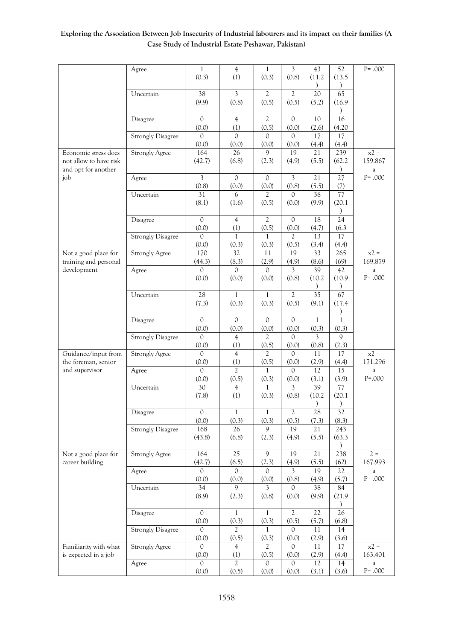|                        | Agree                    | $\mathbf{1}$   | $\overline{4}$  | $\mathbf{1}$   | $\mathfrak{Z}$ | 43              | 52              | $P = .000$ |
|------------------------|--------------------------|----------------|-----------------|----------------|----------------|-----------------|-----------------|------------|
|                        |                          | (0.3)          | (1)             | (0.3)          | (0.8)          | (11.2)          | (13.5)          |            |
|                        |                          |                |                 |                |                |                 | $\mathcal{F}$   |            |
|                        | Uncertain                | 38             | 3               | $\overline{2}$ | $\overline{2}$ | 20              | 65              |            |
|                        |                          | (9.9)          | (0.8)           | (0.5)          | (0.5)          | (5.2)           | (16.9)          |            |
|                        |                          |                |                 |                |                |                 |                 |            |
|                        | Disagree                 | $\mathcal{O}$  | $\overline{4}$  | $\mathfrak{2}$ | $\mathcal{O}$  | 10              | 16              |            |
|                        |                          | (0.0)          | (1)             | (0.5)          | (0.0)          | (2.6)           | (4.20)          |            |
|                        | <b>Strongly Disagree</b> | $\mathcal{O}$  | $\Omega$        | $\mathcal{O}$  | $\circ$        | 17              | 17              |            |
|                        |                          | (0.0)          | (0.0)           | (0.0)          | (0.0)          | (4.4)           | (4.4)           |            |
| Economic stress does   | <b>Strongly Agree</b>    | 164            | 26              | 9              | 19             |                 |                 | $x^2 =$    |
|                        |                          |                |                 |                |                | 21              | 239             |            |
| not allow to have risk |                          | (42.7)         | (6.8)           | (2.3)          | (4.9)          | (5.5)           | (62.2)          | 159.867    |
| and opt for another    |                          |                |                 |                |                |                 | $\lambda$       | $\rm{a}$   |
| job                    | Agree                    | $\mathfrak{Z}$ | $\mathcal{O}$   | $\circ$        | $\mathfrak{Z}$ | 21              | 27              | $P = .000$ |
|                        |                          | (0.8)          | (0.0)           | (0.0)          | (0.8)          | (5.5)           | (7)             |            |
|                        | Uncertain                | 31             | 6               | $\mathfrak{D}$ | $\Omega$       | 38              | 77              |            |
|                        |                          | (8.1)          | (1.6)           | (0.5)          | (0.0)          | (9.9)           | (20.1)          |            |
|                        |                          |                |                 |                |                |                 | $\lambda$       |            |
|                        | Disagree                 | $\overline{0}$ | $\overline{4}$  | $\overline{2}$ | $\mathcal{O}$  | 18              | $\overline{24}$ |            |
|                        |                          |                |                 |                |                |                 |                 |            |
|                        |                          | (0.0)          | (1)             | (0.5)          | (0.0)          | (4.7)           | (6.3)           |            |
|                        | <b>Strongly Disagree</b> | $\mathcal{O}$  | $\mathbf{1}$    | 1              | $\mathfrak{2}$ | 13              | 17              |            |
|                        |                          | (0.0)          | (0.3)           | (0.3)          | (0.5)          | (3.4)           | (4.4)           |            |
| Not a good place for   | <b>Strongly Agree</b>    | 170            | $\overline{32}$ | 11             | 19             | 33              | 265             | $x^2 =$    |
| training and personal  |                          | (44.3)         | (8.3)           | (2.9)          | (4.9)          | (8.6)           | (69)            | 169.879    |
| development            | Agree                    | $\Omega$       | $\Omega$        | $\mathcal{O}$  | $\mathfrak{Z}$ | 39              | 42              | $\rm{a}$   |
|                        |                          | (0.0)          | (0.0)           | (0.0)          | (0.8)          | (10.2)          | (10.9)          | $P = .000$ |
|                        |                          |                |                 |                |                | $\mathcal{E}$   | $\mathcal{E}$   |            |
|                        | Uncertain                | 28             | $\mathbf{1}$    | $\mathbf{1}$   | $\overline{2}$ | $\overline{35}$ | 67              |            |
|                        |                          |                |                 |                |                |                 |                 |            |
|                        |                          | (7.3)          | (0.3)           | (0.3)          | (0.5)          | (9.1)           | (17.4)          |            |
|                        |                          |                |                 |                |                |                 |                 |            |
|                        | Disagree                 | $\overline{0}$ | $\mathcal{O}$   | $\mathbf{0}$   | $\mathcal{O}$  | $\mathbf{1}$    | $\mathbf{1}$    |            |
|                        |                          | (0.0)          | (0.0)           | (0.0)          | (0.0)          | (0.3)           | (0.3)           |            |
|                        | <b>Strongly Disagree</b> | $\circ$        | 4               | $\overline{2}$ | $\circ$        | 3               | 9               |            |
|                        |                          | (0.0)          | (1)             | (0.5)          | (0.0)          | (0.8)           | (2.3)           |            |
| Guidance/input from    | <b>Strongly Agree</b>    | $\Omega$       | $\overline{4}$  | $\overline{2}$ | $\mathcal{O}$  | 11              | 17              | $x2 =$     |
| the foreman, senior    |                          | (0.0)          | (1)             | (0.5)          | (0.0)          | (2.9)           | (4.4)           | 171.296    |
| and supervisor         | Agree                    | $\Omega$       | $\mathfrak{D}$  | 1              | $\mathcal{O}$  | 12              | 15              | $\rm{a}$   |
|                        |                          | (0.0)          |                 |                |                |                 | (3.9)           | $P = .000$ |
|                        |                          |                | (0.5)           | (0.3)          | (0.0)          | (3.1)           |                 |            |
|                        | Uncertain                | 30             | $\overline{4}$  | 1              | $\mathfrak{Z}$ | 39              | 77              |            |
|                        |                          | (7.8)          | (1)             | (0.3)          | (0.8)          | (10.2)          | (20.1)          |            |
|                        |                          |                |                 |                |                |                 |                 |            |
|                        | Disagree                 | $\mathbf{0}$   | $\mathbf{1}$    | $\mathbf{1}$   | $\overline{2}$ | 28              | 32              |            |
|                        |                          | (0.0)          | (0.3)           | (0.3)          | (0.5)          | (7.3)           | (8.3)           |            |
|                        | <b>Strongly Disagree</b> | 168            | 26              | 9              | 19             | 21              | 243             |            |
|                        |                          | (43.8)         | (6.8)           | (2.3)          | (4.9)          | (5.5)           | (63.3)          |            |
|                        |                          |                |                 |                |                |                 |                 |            |
| Not a good place for   | <b>Strongly Agree</b>    | 164            | 25              | 9              | 19             | 21              | 238             | $2 =$      |
|                        |                          |                |                 |                |                |                 |                 |            |
| career building        |                          | (42.7)         | (6.5)           | (2.3)          | (4.9)          | (5.5)           | (62)            | 167.993    |
|                        | Agree                    | $\Omega$       | $\Omega$        | $\Omega$       | 3              | 19              | 22              | $\rm{a}$   |
|                        |                          | (0.0)          | (0.0)           | (0.0)          | (0.8)          | (4.9)           | (5.7)           | $P = .000$ |
|                        | Uncertain                | 34             | $\overline{9}$  | $\mathfrak{Z}$ | $\mathbb O$    | 38              | 84              |            |
|                        |                          | (8.9)          | (2.3)           | (0.8)          | (0.0)          | (9.9)           | (21.9)          |            |
|                        |                          |                |                 |                |                |                 |                 |            |
|                        | Disagree                 | $\mbox{O}$     | $\mathbf{1}$    | $\mathbf{1}$   | $\mathfrak{2}$ | 22              | 26              |            |
|                        |                          | (0.0)          | (0.3)           | (0.3)          | (0.5)          | (5.7)           | (6.8)           |            |
|                        |                          | $\Omega$       | $\mathfrak{D}$  |                |                |                 |                 |            |
|                        | <b>Strongly Disagree</b> |                |                 | $\mathbf{1}$   | $\Omega$       | 11              | 14              |            |
|                        |                          | (0.0)          | (0.5)           | (0.3)          | (0.0)          | (2.9)           | (3.6)           |            |
| Familiarity with what  | <b>Strongly Agree</b>    | $\mathcal{O}$  | $\overline{4}$  | 2              | 0              | 11              | 17              | $x2 =$     |
| is expected in a job   |                          | (0.0)          | (1)             | (0.5)          | (0.0)          | (2.9)           | (4.4)           | 163.401    |
|                        | Agree                    | $\Omega$       | $\overline{2}$  | $\Omega$       | $\Omega$       | 12              | 14              | $\rm{a}$   |
|                        |                          | (0.0)          | (0.5)           | (0.0)          | (0.0)          | (3.1)           | (3.6)           | $P = .000$ |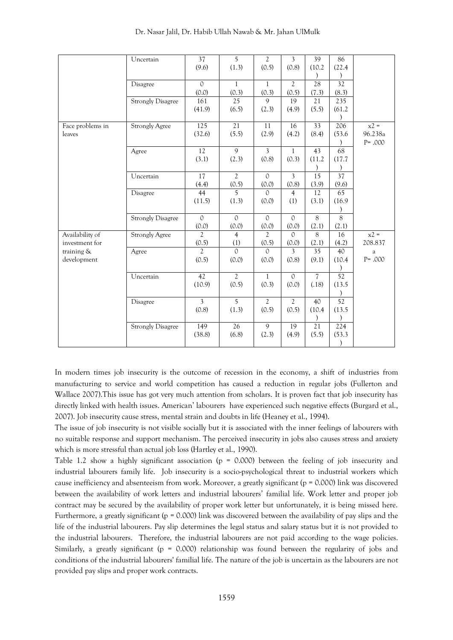|                  | Uncertain                | 37              | $\overline{5}$          | $\mathfrak{2}$          | $\overline{\mathbf{3}}$ | 39              | 86              |            |
|------------------|--------------------------|-----------------|-------------------------|-------------------------|-------------------------|-----------------|-----------------|------------|
|                  |                          | (9.6)           | (1.3)                   | (0.5)                   | (0.8)                   | (10.2)          | (22.4)          |            |
|                  |                          |                 |                         |                         |                         |                 |                 |            |
|                  | Disagree                 | $\Omega$        | $\mathbf{1}$            | $\mathbf{1}$            | $\overline{2}$          | 28              | 32              |            |
|                  |                          | (0.0)           | (0.3)                   | (0.3)                   | (0.5)                   | (7.3)           | (8.3)           |            |
|                  | <b>Strongly Disagree</b> | 161             | 25                      | 9                       | 19                      | 21              | 235             |            |
|                  |                          | (41.9)          | (6.5)                   | (2.3)                   | (4.9)                   | (5.5)           | (61.2)          |            |
|                  |                          |                 |                         |                         |                         |                 |                 |            |
| Face problems in | <b>Strongly Agree</b>    | 125             | 21                      | 11                      | 16                      | 33              | 206             | $x^2 =$    |
| leaves           |                          | (32.6)          | (5.5)                   | (2.9)                   | (4.2)                   | (8.4)           | (53.6)          | 96.238a    |
|                  |                          |                 |                         |                         |                         |                 |                 | $P = .000$ |
|                  | Agree                    | $\overline{12}$ | $\overline{9}$          | $\overline{\mathbf{3}}$ | $\mathbf{1}$            | $\overline{43}$ | 68              |            |
|                  |                          | (3.1)           | (2.3)                   | (0.8)                   | (0.3)                   | (11.2)          | (17.7)          |            |
|                  |                          |                 |                         |                         |                         | $\mathcal{E}$   |                 |            |
|                  | Uncertain                | 17              | $\overline{2}$          | $\Omega$                | $\overline{3}$          | 15              | 37              |            |
|                  |                          | (4.4)<br>44     | (0.5)<br>5 <sup>5</sup> | (0.0)<br>$\Omega$       | (0.8)                   | (3.9)<br>12     | (9.6)<br>65     |            |
|                  | Disagree                 | (11.5)          | (1.3)                   | (0.0)                   | $\overline{4}$<br>(1)   | (3.1)           | (16.9)          |            |
|                  |                          |                 |                         |                         |                         |                 |                 |            |
|                  | <b>Strongly Disagree</b> | $\overline{0}$  | $\mathcal{O}$           | $\mathcal{O}$           | $\overline{0}$          | $\overline{8}$  | $\overline{8}$  |            |
|                  |                          | (0.0)           | (0.0)                   | (0.0)                   | (0.0)                   | (2.1)           | (2.1)           |            |
| Availability of  | <b>Strongly Agree</b>    | $\mathfrak{2}$  | $\overline{4}$          | $\overline{c}$          | $\Omega$                | 8               | 16              | $x^2 =$    |
| investment for   |                          | (0.5)           | (1)                     | (0.5)                   | (0.0)                   | (2.1)           | (4.2)           | 208.837    |
| training &       | Agree                    | $\overline{2}$  | $\Omega$                | $\Omega$                | 3                       | $\overline{35}$ | 40              | $\rm{a}$   |
| development      |                          | (0.5)           | (0.0)                   | (0.0)                   | (0.8)                   | (9.1)           | (10.4)          | $P = .000$ |
|                  |                          |                 |                         |                         |                         |                 |                 |            |
|                  | Uncertain                | 42              | $\overline{2}$          | $\mathbf{1}$            | $\mathcal{O}$           | $\overline{7}$  | 52              |            |
|                  |                          | (10.9)          | (0.5)                   | (0.3)                   | (0.0)                   | (.18)           | (13.5)          |            |
|                  |                          |                 |                         |                         |                         |                 |                 |            |
|                  | Disagree                 | $\mathfrak{Z}$  | $\overline{5}$          | $\overline{2}$          | $\overline{2}$          | 40              | $\overline{52}$ |            |
|                  |                          | (0.8)           | (1.3)                   | (0.5)                   | (0.5)                   | (10.4)          | (13.5)          |            |
|                  |                          |                 |                         |                         |                         | $\mathcal{E}$   |                 |            |
|                  | <b>Strongly Disagree</b> | 149             | $\overline{26}$         | 9                       | 19                      | $\overline{21}$ | 224             |            |
|                  |                          | (38.8)          | (6.8)                   | (2.3)                   | (4.9)                   | (5.5)           | (53.3)          |            |
|                  |                          |                 |                         |                         |                         |                 | $\mathcal{E}$   |            |

In modern times job insecurity is the outcome of recession in the economy, a shift of industries from manufacturing to service and world competition has caused a reduction in regular jobs (Fullerton and Wallace 2007).This issue has got very much attention from scholars. It is proven fact that job insecurity has directly linked with health issues. American' labourers have experienced such negative effects (Burgard et al., 2007). Job insecurity cause stress, mental strain and doubts in life (Heaney et al., 1994).

The issue of job insecurity is not visible socially but it is associated with the inner feelings of labourers with no suitable response and support mechanism. The perceived insecurity in jobs also causes stress and anxiety which is more stressful than actual job loss (Hartley et al., 1990).

Table 1.2 show a highly significant association (p = 0.000) between the feeling of job insecurity and industrial labourers family life. Job insecurity is a socio-psychological threat to industrial workers which cause inefficiency and absenteeism from work. Moreover, a greatly significant (p = 0.000) link was discovered between the availability of work letters and industrial labourers' familial life. Work letter and proper job contract may be secured by the availability of proper work letter but unfortunately, it is being missed here. Furthermore, a greatly significant ( $p = 0.000$ ) link was discovered between the availability of pay slips and the life of the industrial labourers. Pay slip determines the legal status and salary status but it is not provided to the industrial labourers. Therefore, the industrial labourers are not paid according to the wage policies. Similarly, a greatly significant (p = 0.000) relationship was found between the regularity of jobs and conditions of the industrial labourers' familial life. The nature of the job is uncertain as the labourers are not provided pay slips and proper work contracts.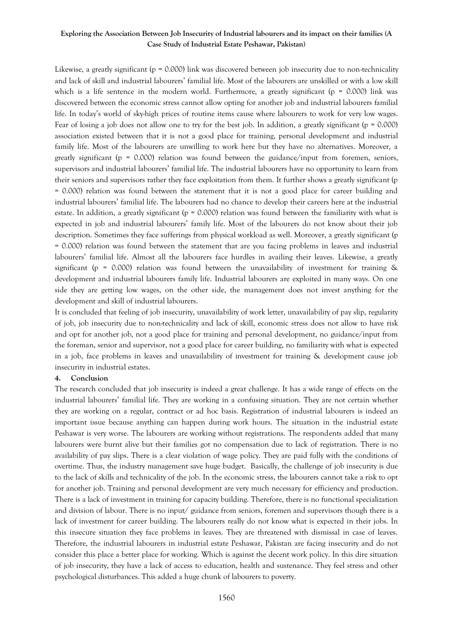Likewise, a greatly significant (p = 0.000) link was discovered between job insecurity due to non-technicality and lack of skill and industrial labourers' familial life. Most of the labourers are unskilled or with a low skill which is a life sentence in the modern world. Furthermore, a greatly significant ( $p = 0.000$ ) link was discovered between the economic stress cannot allow opting for another job and industrial labourers familial life. In today's world of sky-high prices of routine items cause where labourers to work for very low wages. Fear of losing a job does not allow one to try for the best job. In addition, a greatly significant (p = 0.000) association existed between that it is not a good place for training, personal development and industrial family life. Most of the labourers are unwilling to work here but they have no alternatives. Moreover, a greatly significant ( $p = 0.000$ ) relation was found between the guidance/input from foremen, seniors, supervisors and industrial labourers' familial life. The industrial labourers have no opportunity to learn from their seniors and supervisors rather they face exploitation from them. It further shows a greatly significant (p = 0.000) relation was found between the statement that it is not a good place for career building and industrial labourers' familial life. The labourers had no chance to develop their careers here at the industrial estate. In addition, a greatly significant ( $p = 0.000$ ) relation was found between the familiarity with what is expected in job and industrial labourers' family life. Most of the labourers do not know about their job description. Sometimes they face sufferings from physical workload as well. Moreover, a greatly significant (p = 0.000) relation was found between the statement that are you facing problems in leaves and industrial labourers' familial life. Almost all the labourers face hurdles in availing their leaves. Likewise, a greatly significant ( $p = 0.000$ ) relation was found between the unavailability of investment for training  $\&$ development and industrial labourers family life. Industrial labourers are exploited in many ways. On one side they are getting low wages, on the other side, the management does not invest anything for the development and skill of industrial labourers.

It is concluded that feeling of job insecurity, unavailability of work letter, unavailability of pay slip, regularity of job, job insecurity due to non-technicality and lack of skill, economic stress does not allow to have risk and opt for another job, not a good place for training and personal development, no guidance/input from the foreman, senior and supervisor, not a good place for career building, no familiarity with what is expected in a job, face problems in leaves and unavailability of investment for training & development cause job insecurity in industrial estates.

#### **4. Conclusion**

The research concluded that job insecurity is indeed a great challenge. It has a wide range of effects on the industrial labourers' familial life. They are working in a confusing situation. They are not certain whether they are working on a regular, contract or ad hoc basis. Registration of industrial labourers is indeed an important issue because anything can happen during work hours. The situation in the industrial estate Peshawar is very worse. The labourers are working without registrations. The respondents added that many labourers were burnt alive but their families got no compensation due to lack of registration. There is no availability of pay slips. There is a clear violation of wage policy. They are paid fully with the conditions of overtime. Thus, the industry management save huge budget. Basically, the challenge of job insecurity is due to the lack of skills and technicality of the job. In the economic stress, the labourers cannot take a risk to opt for another job. Training and personal development are very much necessary for efficiency and production. There is a lack of investment in training for capacity building. Therefore, there is no functional specialization and division of labour. There is no input/ guidance from seniors, foremen and supervisors though there is a lack of investment for career building. The labourers really do not know what is expected in their jobs. In this insecure situation they face problems in leaves. They are threatened with dismissal in case of leaves. Therefore, the industrial labourers in industrial estate Peshawar, Pakistan are facing insecurity and do not consider this place a better place for working. Which is against the decent work policy. In this dire situation of job insecurity, they have a lack of access to education, health and sustenance. They feel stress and other psychological disturbances. This added a huge chunk of labourers to poverty.